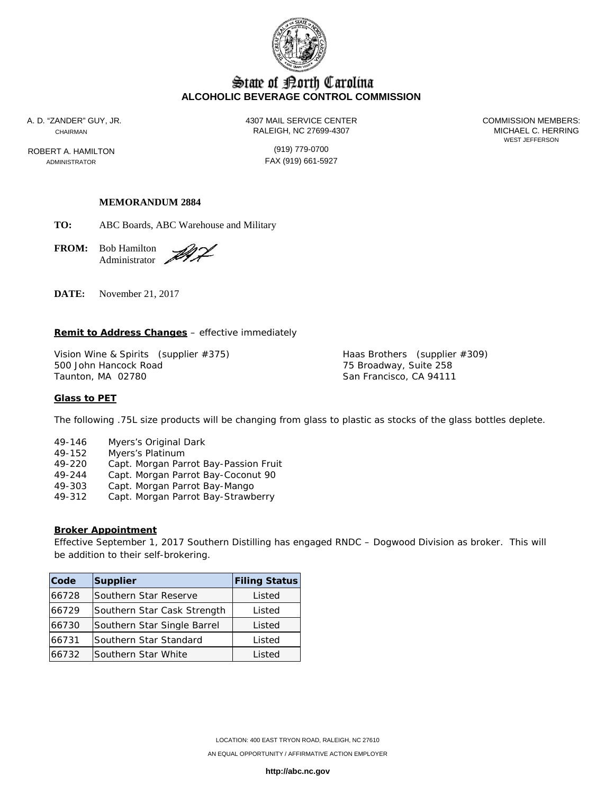

# State of Borth Carolina **ALCOHOLIC BEVERAGE CONTROL COMMISSION**

ROBERT A. HAMILTON (919) 779-0700 ADMINISTRATOR **FAX** (919) 661-5927

A. D. "ZANDER" GUY, JR. 4307 MAIL SERVICE CENTER COMMISSION MEMBERS: CHAIRMAN CHAIRMAN CHAIRMAN

# **MEMORANDUM 2884**

**TO:** ABC Boards, ABC Warehouse and Military

**FROM:** Bob Hamilton Administrator

ÐÝ,

**DATE:** November 21, 2017

#### **Remit to Address Changes** – effective immediately

Vision Wine & Spirits (supplier #375) Haas Brothers (supplier #309) 500 John Hancock Road 75 Broadway, Suite 258

San Francisco, CA 94111

#### **Glass to PET**

The following .75L size products will be changing from glass to plastic as stocks of the glass bottles deplete.

- 49-146 Myers's Original Dark
- 49-152 Myers's Platinum
- 49-220 Capt. Morgan Parrot Bay-Passion Fruit
- Capt. Morgan Parrot Bay-Coconut 90
- 49-303 Capt. Morgan Parrot Bay-Mango
- 49-312 Capt. Morgan Parrot Bay-Strawberry

### **Broker Appointment**

Effective September 1, 2017 Southern Distilling has engaged RNDC – Dogwood Division as broker. This will be addition to their self-brokering.

| Code  | <b>Supplier</b>             | <b>Filing Status</b> |
|-------|-----------------------------|----------------------|
| 66728 | Southern Star Reserve       | Listed               |
| 66729 | Southern Star Cask Strength | Listed               |
| 66730 | Southern Star Single Barrel | Listed               |
| 66731 | Southern Star Standard      | Listed               |
| 66732 | Southern Star White         | Listed               |

**http://abc.nc.gov**

WEST JEFFERSON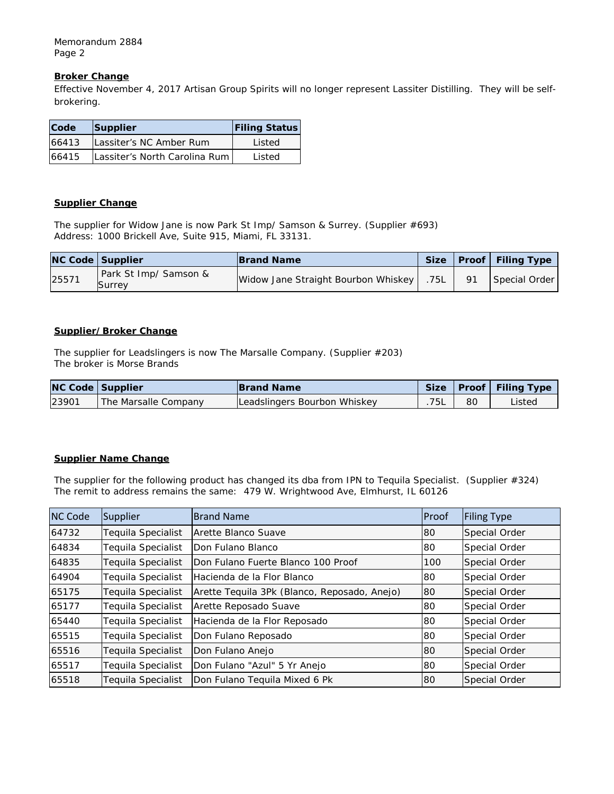Memorandum 2884 Page 2

# **Broker Change**

Effective November 4, 2017 Artisan Group Spirits will no longer represent Lassiter Distilling. They will be selfbrokering.

| Code  | Supplier                      | <b>Filing Status</b> |
|-------|-------------------------------|----------------------|
| 66413 | Lassiter's NC Amber Rum       | Listed               |
| 66415 | Lassiter's North Carolina Rum | Listed               |

### **Supplier Change**

The supplier for Widow Jane is now Park St Imp/ Samson & Surrey. (Supplier #693) Address: 1000 Brickell Ave, Suite 915, Miami, FL 33131.

|       | <b>NC Code Supplier</b>         | <b>Brand Name</b>                   |      |    | Size   Proof   Filing Type |
|-------|---------------------------------|-------------------------------------|------|----|----------------------------|
| 25571 | Park St Imp/ Samson &<br>Surrey | Widow Jane Straight Bourbon Whiskey | .75L | 91 | Special Order              |

# **Supplier/Broker Change**

The supplier for Leadslingers is now The Marsalle Company. (Supplier #203) The broker is Morse Brands

| <b>NC Code Supplier</b> |                      | <b>Brand Name</b>            |    | Size   Proof   Filing Type |
|-------------------------|----------------------|------------------------------|----|----------------------------|
| 23901                   | The Marsalle Company | Leadslingers Bourbon Whiskey | 80 | Listed                     |

# **Supplier Name Change**

The supplier for the following product has changed its dba from IPN to Tequila Specialist. (Supplier #324) The remit to address remains the same: 479 W. Wrightwood Ave, Elmhurst, IL 60126

| <b>NC Code</b> | Supplier                  | <b>Brand Name</b>                            | Proof | <b>Filing Type</b> |
|----------------|---------------------------|----------------------------------------------|-------|--------------------|
| 64732          | Teguila Specialist        | Arette Blanco Suave                          | 80    | Special Order      |
| 64834          | Teguila Specialist        | Don Fulano Blanco                            | 80    | Special Order      |
| 64835          | <b>Tequila Specialist</b> | IDon Fulano Fuerte Blanco 100 Proof          | 100   | Special Order      |
| 64904          | Tequila Specialist        | Hacienda de la Flor Blanco                   | 80    | Special Order      |
| 65175          | Teguila Specialist        | Arette Teguila 3Pk (Blanco, Reposado, Anejo) | 80    | Special Order      |
| 65177          | Teguila Specialist        | Arette Reposado Suave                        | 80    | Special Order      |
| 65440          | Teguila Specialist        | Hacienda de la Flor Reposado                 | 80    | Special Order      |
| 65515          | Teguila Specialist        | Don Fulano Reposado                          | 80    | Special Order      |
| 65516          | <b>Tequila Specialist</b> | Don Fulano Anejo                             | 80    | Special Order      |
| 65517          | Teguila Specialist        | Don Fulano "Azul" 5 Yr Anejo                 | 80    | Special Order      |
| 65518          | Teguila Specialist        | Don Fulano Teguila Mixed 6 Pk                | 80    | Special Order      |